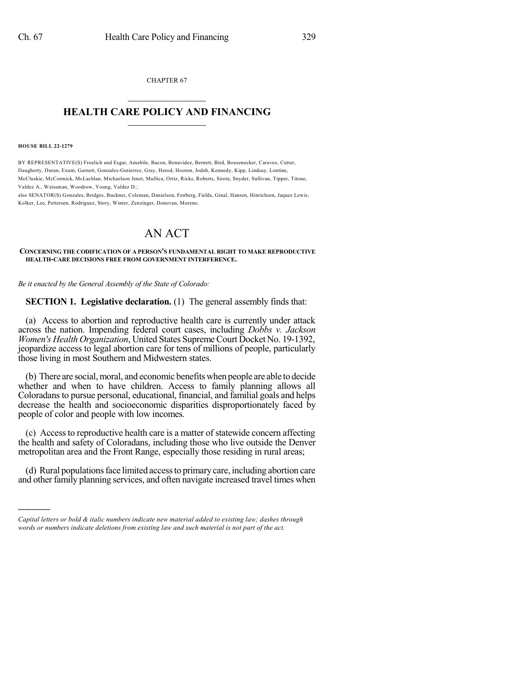CHAPTER 67  $\mathcal{L}_\text{max}$  . The set of the set of the set of the set of the set of the set of the set of the set of the set of the set of the set of the set of the set of the set of the set of the set of the set of the set of the set

## **HEALTH CARE POLICY AND FINANCING**  $\_$   $\_$   $\_$   $\_$   $\_$   $\_$   $\_$   $\_$

**HOUSE BILL 22-1279**

)))))

BY REPRESENTATIVE(S) Froelich and Esgar, Amabile, Bacon, Benavidez, Bernett, Bird, Boesenecker, Caraveo, Cutter, Daugherty, Duran, Exum, Garnett, Gonzales-Gutierrez, Gray, Herod, Hooton, Jodeh, Kennedy, Kipp, Lindsay, Lontine, McCluskie, McCormick, McLachlan, Michaelson Jenet, Mullica, Ortiz, Ricks, Roberts, Sirota, Snyder, Sullivan, Tipper, Titone, Valdez A., Weissman, Woodrow, Young, Valdez D.;

also SENATOR(S) Gonzales, Bridges, Buckner, Coleman, Danielson, Fenberg, Fields, Ginal, Hansen, Hinrichsen, Jaquez Lewis, Kolker, Lee, Pettersen, Rodriguez, Story, Winter, Zenzinger, Donovan, Moreno.

# AN ACT

#### **CONCERNING THE CODIFICATION OF A PERSON'S FUNDAMENTAL RIGHT TO MAKE REPRODUCTIVE HEALTH-CARE DECISIONS FREE FROM GOVERNMENT INTERFERENCE.**

*Be it enacted by the General Assembly of the State of Colorado:*

**SECTION 1. Legislative declaration.** (1) The general assembly finds that:

(a) Access to abortion and reproductive health care is currently under attack across the nation. Impending federal court cases, including *Dobbs v. Jackson Women's Health Organization*, United States Supreme Court Docket No. 19-1392, jeopardize access to legal abortion care for tens of millions of people, particularly those living in most Southern and Midwestern states.

(b) There are social,moral, and economic benefits when people are able to decide whether and when to have children. Access to family planning allows all Coloradansto pursue personal, educational, financial, and familial goals and helps decrease the health and socioeconomic disparities disproportionately faced by people of color and people with low incomes.

(c) Accessto reproductive health care is a matter of statewide concern affecting the health and safety of Coloradans, including those who live outside the Denver metropolitan area and the Front Range, especially those residing in rural areas;

(d) Rural populationsface limited accessto primarycare, including abortion care and other family planning services, and often navigate increased travel times when

*Capital letters or bold & italic numbers indicate new material added to existing law; dashes through words or numbers indicate deletions from existing law and such material is not part of the act.*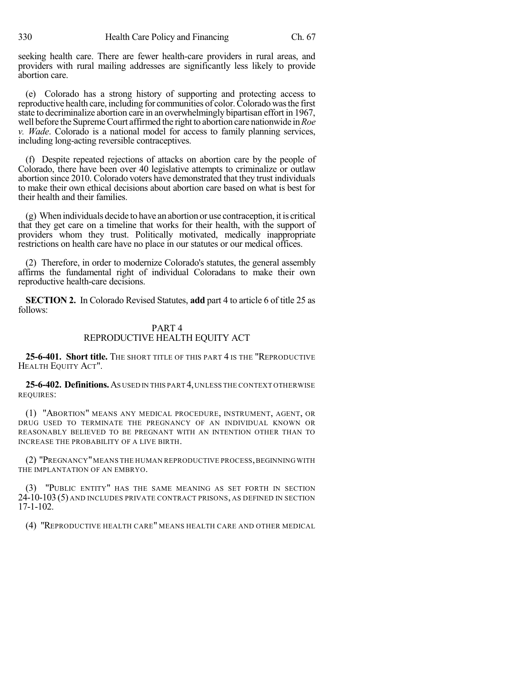seeking health care. There are fewer health-care providers in rural areas, and providers with rural mailing addresses are significantly less likely to provide abortion care.

(e) Colorado has a strong history of supporting and protecting access to reproductive health care, including for communities of color. Colorado was the first state to decriminalize abortion care in an overwhelmingly bipartisan effort in 1967, well before the SupremeCourt affirmed the right to abortion care nationwide in*Roe v. Wade*. Colorado is a national model for access to family planning services, including long-acting reversible contraceptives.

(f) Despite repeated rejections of attacks on abortion care by the people of Colorado, there have been over 40 legislative attempts to criminalize or outlaw abortion since 2010. Colorado voters have demonstrated that they trust individuals to make their own ethical decisions about abortion care based on what is best for their health and their families.

(g) When individuals decide to have an abortion or use contraception, it is critical that they get care on a timeline that works for their health, with the support of providers whom they trust. Politically motivated, medically inappropriate restrictions on health care have no place in our statutes or our medical offices.

(2) Therefore, in order to modernize Colorado's statutes, the general assembly affirms the fundamental right of individual Coloradans to make their own reproductive health-care decisions.

**SECTION 2.** In Colorado Revised Statutes, **add** part 4 to article 6 of title 25 as follows:

## PART 4 REPRODUCTIVE HEALTH EQUITY ACT

**25-6-401. Short title.** THE SHORT TITLE OF THIS PART 4 IS THE "REPRODUCTIVE HEALTH EQUITY ACT".

**25-6-402. Definitions.**AS USED IN THIS PART 4,UNLESS THE CONTEXT OTHERWISE REQUIRES:

(1) "ABORTION" MEANS ANY MEDICAL PROCEDURE, INSTRUMENT, AGENT, OR DRUG USED TO TERMINATE THE PREGNANCY OF AN INDIVIDUAL KNOWN OR REASONABLY BELIEVED TO BE PREGNANT WITH AN INTENTION OTHER THAN TO INCREASE THE PROBABILITY OF A LIVE BIRTH.

(2) "PREGNANCY"MEANS THE HUMAN REPRODUCTIVE PROCESS,BEGINNING WITH THE IMPLANTATION OF AN EMBRYO.

(3) "PUBLIC ENTITY" HAS THE SAME MEANING AS SET FORTH IN SECTION 24-10-103 (5) AND INCLUDES PRIVATE CONTRACT PRISONS, AS DEFINED IN SECTION 17-1-102.

(4) "REPRODUCTIVE HEALTH CARE" MEANS HEALTH CARE AND OTHER MEDICAL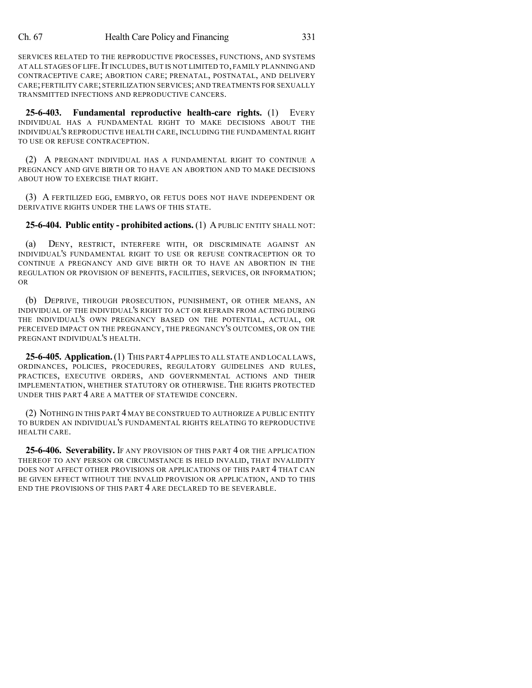SERVICES RELATED TO THE REPRODUCTIVE PROCESSES, FUNCTIONS, AND SYSTEMS AT ALL STAGES OF LIFE. IT INCLUDES, BUT IS NOT LIMITED TO, FAMILY PLANNING AND CONTRACEPTIVE CARE; ABORTION CARE; PRENATAL, POSTNATAL, AND DELIVERY CARE; FERTILITY CARE; STERILIZATION SERVICES; AND TREATMENTS FOR SEXUALLY TRANSMITTED INFECTIONS AND REPRODUCTIVE CANCERS.

**25-6-403. Fundamental reproductive health-care rights.** (1) EVERY INDIVIDUAL HAS A FUNDAMENTAL RIGHT TO MAKE DECISIONS ABOUT THE INDIVIDUAL'S REPRODUCTIVE HEALTH CARE, INCLUDING THE FUNDAMENTAL RIGHT TO USE OR REFUSE CONTRACEPTION.

(2) A PREGNANT INDIVIDUAL HAS A FUNDAMENTAL RIGHT TO CONTINUE A PREGNANCY AND GIVE BIRTH OR TO HAVE AN ABORTION AND TO MAKE DECISIONS ABOUT HOW TO EXERCISE THAT RIGHT.

(3) A FERTILIZED EGG, EMBRYO, OR FETUS DOES NOT HAVE INDEPENDENT OR DERIVATIVE RIGHTS UNDER THE LAWS OF THIS STATE.

## **25-6-404. Public entity - prohibited actions.** (1) APUBLIC ENTITY SHALL NOT:

(a) DENY, RESTRICT, INTERFERE WITH, OR DISCRIMINATE AGAINST AN INDIVIDUAL'S FUNDAMENTAL RIGHT TO USE OR REFUSE CONTRACEPTION OR TO CONTINUE A PREGNANCY AND GIVE BIRTH OR TO HAVE AN ABORTION IN THE REGULATION OR PROVISION OF BENEFITS, FACILITIES, SERVICES, OR INFORMATION; OR

(b) DEPRIVE, THROUGH PROSECUTION, PUNISHMENT, OR OTHER MEANS, AN INDIVIDUAL OF THE INDIVIDUAL'S RIGHT TO ACT OR REFRAIN FROM ACTING DURING THE INDIVIDUAL'S OWN PREGNANCY BASED ON THE POTENTIAL, ACTUAL, OR PERCEIVED IMPACT ON THE PREGNANCY, THE PREGNANCY'S OUTCOMES, OR ON THE PREGNANT INDIVIDUAL'S HEALTH.

**25-6-405. Application.**(1) THIS PART 4APPLIES TO ALL STATE AND LOCAL LAWS, ORDINANCES, POLICIES, PROCEDURES, REGULATORY GUIDELINES AND RULES, PRACTICES, EXECUTIVE ORDERS, AND GOVERNMENTAL ACTIONS AND THEIR IMPLEMENTATION, WHETHER STATUTORY OR OTHERWISE. THE RIGHTS PROTECTED UNDER THIS PART 4 ARE A MATTER OF STATEWIDE CONCERN.

(2) NOTHING IN THIS PART 4 MAY BE CONSTRUED TO AUTHORIZE A PUBLIC ENTITY TO BURDEN AN INDIVIDUAL'S FUNDAMENTAL RIGHTS RELATING TO REPRODUCTIVE HEALTH CARE.

**25-6-406. Severability.** IF ANY PROVISION OF THIS PART 4 OR THE APPLICATION THEREOF TO ANY PERSON OR CIRCUMSTANCE IS HELD INVALID, THAT INVALIDITY DOES NOT AFFECT OTHER PROVISIONS OR APPLICATIONS OF THIS PART 4 THAT CAN BE GIVEN EFFECT WITHOUT THE INVALID PROVISION OR APPLICATION, AND TO THIS END THE PROVISIONS OF THIS PART 4 ARE DECLARED TO BE SEVERABLE.